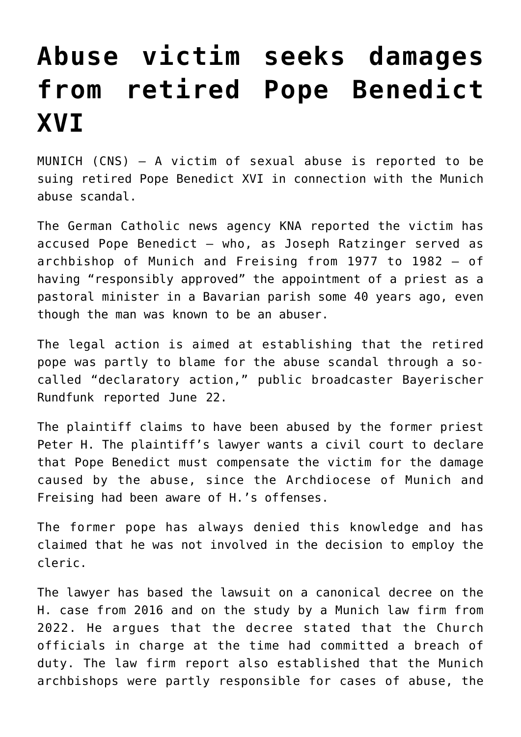## **[Abuse victim seeks damages](https://www.osvnews.com/2022/06/22/abuse-victim-seeks-damages-from-retired-pope-benedict-xvi/) [from retired Pope Benedict](https://www.osvnews.com/2022/06/22/abuse-victim-seeks-damages-from-retired-pope-benedict-xvi/) [XVI](https://www.osvnews.com/2022/06/22/abuse-victim-seeks-damages-from-retired-pope-benedict-xvi/)**

MUNICH (CNS) — A victim of sexual abuse is reported to be suing retired Pope Benedict XVI in connection with the Munich abuse scandal.

The German Catholic news agency KNA reported the victim has accused Pope Benedict — who, as Joseph Ratzinger served as archbishop of Munich and Freising from 1977 to 1982 — of having "responsibly approved" the appointment of a priest as a pastoral minister in a Bavarian parish some 40 years ago, even though the man was known to be an abuser.

The legal action is aimed at establishing that the retired pope was partly to blame for the abuse scandal through a socalled "declaratory action," public broadcaster Bayerischer Rundfunk reported June 22.

The plaintiff claims to have been abused by the former priest Peter H. The plaintiff's lawyer wants a civil court to declare that Pope Benedict must compensate the victim for the damage caused by the abuse, since the Archdiocese of Munich and Freising had been aware of H.'s offenses.

The former pope has always denied this knowledge and has claimed that he was not involved in the decision to employ the cleric.

The lawyer has based the lawsuit on a canonical decree on the H. case from 2016 and on the study by a Munich law firm from 2022. He argues that the decree stated that the Church officials in charge at the time had committed a breach of duty. The law firm report also established that the Munich archbishops were partly responsible for cases of abuse, the